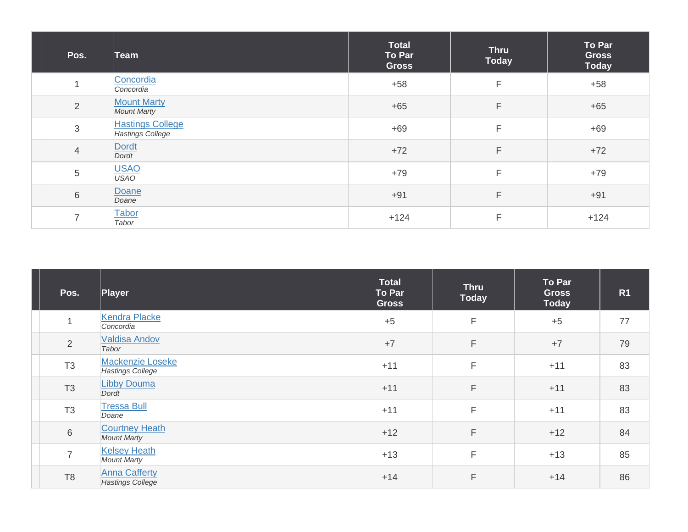| Pos.           | ∣Team                                              | <b>Total</b><br>To Par<br><b>Gross</b> | <b>Thru</b><br><b>Today</b> | To Par<br><b>Gross</b><br><b>Today</b> |
|----------------|----------------------------------------------------|----------------------------------------|-----------------------------|----------------------------------------|
| 1              | Concordia<br>Concordia                             | $+58$                                  | F                           | $+58$                                  |
| $\overline{2}$ | <b>Mount Marty</b><br><b>Mount Marty</b>           | $+65$                                  | F                           | $+65$                                  |
| 3              | <b>Hastings College</b><br><b>Hastings College</b> | $+69$                                  | F                           | $+69$                                  |
| $\overline{4}$ | Dordt<br>Dordt                                     | $+72$                                  | F                           | $+72$                                  |
| 5              | USAO<br>USAO                                       | $+79$                                  | F                           | $+79$                                  |
| 6              | Doane<br>Doane                                     | $+91$                                  | F                           | $+91$                                  |
| $\overline{7}$ | Tabor<br>Tabor                                     | $+124$                                 | F                           | $+124$                                 |

| Pos.           | Player                                      | Total<br>To Par<br><b>Gross</b> | <b>Thru</b><br><b>Today</b> | To Par<br><b>Gross</b><br><b>Today</b> | R <sub>1</sub> |
|----------------|---------------------------------------------|---------------------------------|-----------------------------|----------------------------------------|----------------|
| 1              | <b>Kendra Placke</b><br>Concordia           | $+5$                            | F                           | $+5$                                   | 77             |
| $\overline{2}$ | <b>Valdisa Andov</b><br>Tabor               | $+7$                            | F                           | $+7$                                   | 79             |
| T <sub>3</sub> | Mackenzie Loseke<br><b>Hastings College</b> | $+11$                           | F                           | $+11$                                  | 83             |
| T <sub>3</sub> | <b>Libby Douma</b><br>Dordt                 | $+11$                           | F                           | $+11$                                  | 83             |
| T <sub>3</sub> | <b>Tressa Bull</b><br>Doane                 | $+11$                           | F                           | $+11$                                  | 83             |
| $\,$ 6 $\,$    | <b>Courtney Heath</b><br><b>Mount Marty</b> | $+12$                           | F                           | $+12$                                  | 84             |
| $\overline{7}$ | <b>Kelsey Heath</b><br><b>Mount Marty</b>   | $+13$                           | F                           | $+13$                                  | 85             |
| T <sub>8</sub> | <b>Anna Cafferty</b><br>Hastings College    | $+14$                           | F                           | $+14$                                  | 86             |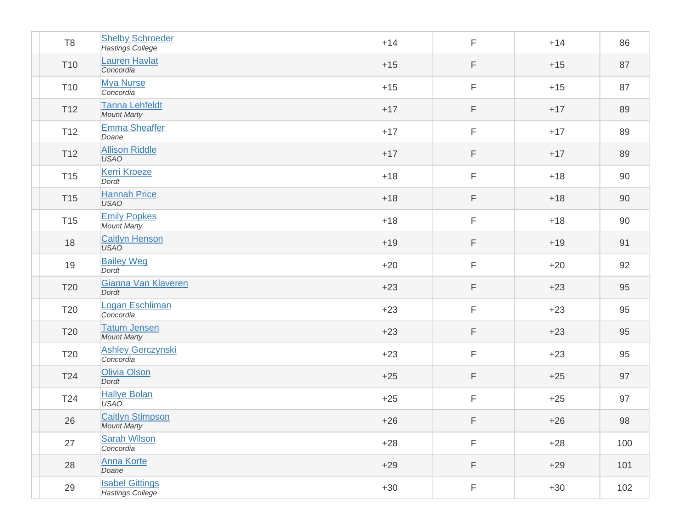| T <sub>8</sub>  | <b>Shelby Schroeder</b><br><b>Hastings College</b> | $+14$ | $\mathsf F$ | $+14$ | 86  |
|-----------------|----------------------------------------------------|-------|-------------|-------|-----|
| T <sub>10</sub> | <b>Lauren Havlat</b><br>Concordia                  | $+15$ | $\mathsf F$ | $+15$ | 87  |
| T <sub>10</sub> | <b>Mya Nurse</b><br>Concordia                      | $+15$ | $\mathsf F$ | $+15$ | 87  |
| T <sub>12</sub> | <b>Tanna Lehfeldt</b><br><b>Mount Marty</b>        | $+17$ | F           | $+17$ | 89  |
| T <sub>12</sub> | Emma Sheaffer<br>Doane                             | $+17$ | F           | $+17$ | 89  |
| T <sub>12</sub> | <b>Allison Riddle</b><br><b>USAO</b>               | $+17$ | F           | $+17$ | 89  |
| T <sub>15</sub> | <b>Kerri Kroeze</b><br>Dordt                       | $+18$ | $\mathsf F$ | $+18$ | 90  |
| T <sub>15</sub> | <b>Hannah Price</b><br><b>USAO</b>                 | $+18$ | $\mathsf F$ | $+18$ | 90  |
| T <sub>15</sub> | <b>Emily Popkes</b><br><b>Mount Marty</b>          | $+18$ | $\mathsf F$ | $+18$ | 90  |
| 18              | <b>Caitlyn Henson</b><br><b>USAO</b>               | $+19$ | F           | $+19$ | 91  |
| 19              | <b>Bailey Weg</b><br><b>Dordt</b>                  | $+20$ | F           | $+20$ | 92  |
| T <sub>20</sub> | Gianna Van Klaveren<br>Dordt                       | $+23$ | F           | $+23$ | 95  |
| T20             | Logan Eschliman<br>Concordia                       | $+23$ | F           | $+23$ | 95  |
| <b>T20</b>      | <b>Tatum Jensen</b><br><b>Mount Marty</b>          | $+23$ | $\mathsf F$ | $+23$ | 95  |
| T20             | <b>Ashley Gerczynski</b><br>Concordia              | $+23$ | $\mathsf F$ | $+23$ | 95  |
| T24             | Olivia Olson<br>Dordt                              | $+25$ | $\mathsf F$ | $+25$ | 97  |
| T24             | <b>Hallye Bolan</b><br><b>USAO</b>                 | $+25$ | F           | $+25$ | 97  |
| 26              | <b>Caitlyn Stimpson</b><br><b>Mount Marty</b>      | $+26$ | F           | $+26$ | 98  |
| 27              | <b>Sarah Wilson</b><br>Concordia                   | $+28$ | $\mathsf F$ | $+28$ | 100 |
| 28              | <b>Anna Korte</b><br>Doane                         | $+29$ | $\mathsf F$ | $+29$ | 101 |
| 29              | <b>Isabel Gittings</b><br>Hastings College         | $+30$ | F           | $+30$ | 102 |